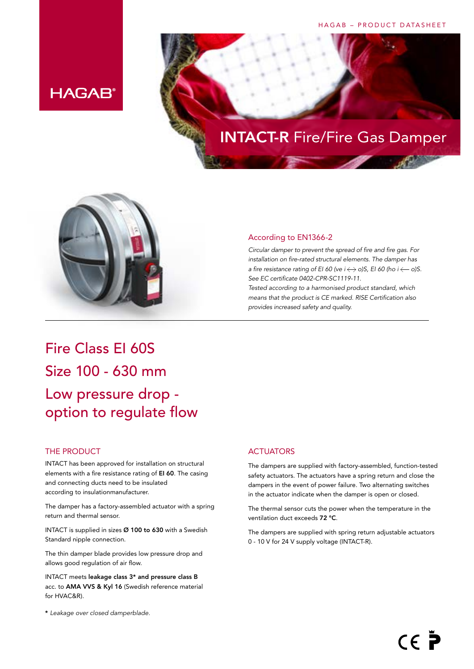#### HAGAB – PRODUCT DATASHEET



# INTACT-R Fire/Fire Gas Damper



#### According to EN1366-2

*Circular damper to prevent the spread of fire and fire gas. For installation on fire-rated structural elements. The damper has a fire resistance rating of EI 60 (ve i*  $\leftrightarrow$  *o)S, EI 60 (ho i*  $\leftarrow$  *o)S. See EC certificate 0402-CPR-SC1119-11.* 

*Tested according to a harmonised product standard, which means that the product is CE marked. RISE Certification also provides increased safety and quality.*

### Fire Class EI 60S Size 100 - 630 mm Low pressure drop option to regulate flow

#### THE PRODUCT

INTACT has been approved for installation on structural elements with a fire resistance rating of EI 60. The casing and connecting ducts need to be insulated according to insulationmanufacturer.

The damper has a factory-assembled actuator with a spring return and thermal sensor.

INTACT is supplied in sizes Ø 100 to 630 with a Swedish Standard nipple connection.

The thin damper blade provides low pressure drop and allows good regulation of air flow.

INTACT meets leakage class 3\* and pressure class B acc. to AMA VVS & Kyl 16 (Swedish reference material for HVAC&R).

#### \* *Leakage over closed damperblade.*

#### **ACTUATORS**

The dampers are supplied with factory-assembled, function-tested safety actuators. The actuators have a spring return and close the dampers in the event of power failure. Two alternating switches in the actuator indicate when the damper is open or closed.

The thermal sensor cuts the power when the temperature in the ventilation duct exceeds 72 °C.

The dampers are supplied with spring return adjustable actuators 0 - 10 V for 24 V supply voltage (INTACT-R).

 $C \in \mathbb{\tilde{P}}$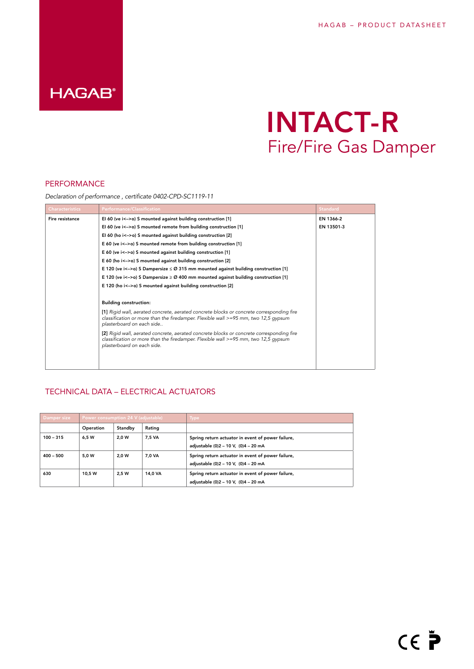### **HAGAB®**

## INTACT-R Fire/Fire Gas Damper

#### PERFORMANCE

*Declaration of performance , certificate 0402-CPD-SC1119-11*

| <b>Characteristics</b> | <b>Performance/Classification</b>                                                                                                                                                                               | <b>Standard</b> |
|------------------------|-----------------------------------------------------------------------------------------------------------------------------------------------------------------------------------------------------------------|-----------------|
| Fire resistance        | El 60 (ve $i \leq -\infty$ ) S mounted against building construction [1]                                                                                                                                        | EN 1366-2       |
|                        | El 60 (ve $i < -\infty$ ) S mounted remote from building construction [1]                                                                                                                                       | EN 13501-3      |
|                        | El 60 (ho $i$ <->o) S mounted against building construction [2]                                                                                                                                                 |                 |
|                        | E 60 (ve i<->o) S mounted remote from building construction [1]                                                                                                                                                 |                 |
|                        | E 60 (ve i<->o) S mounted against building construction [1]                                                                                                                                                     |                 |
|                        | E 60 (ho i<->o) S mounted against building construction [2]                                                                                                                                                     |                 |
|                        | E 120 (ve i<->o) S Dampersize $\leq$ 20 315 mm mounted against building construction [1]                                                                                                                        |                 |
|                        | E 120 (ve i<->o) S Dampersize $\geq$ Ø 400 mm mounted against building construction [1]                                                                                                                         |                 |
|                        | E 120 (ho i<->o) S mounted against building construction [2]                                                                                                                                                    |                 |
|                        |                                                                                                                                                                                                                 |                 |
|                        | <b>Building construction:</b>                                                                                                                                                                                   |                 |
|                        | [1] Rigid wall, aerated concrete, aerated concrete blocks or concrete corresponding fire<br>classification or more than the firedamper. Flexible wall $>=$ 95 mm, two 12,5 gypsum<br>plasterboard on each side  |                 |
|                        | [2] Rigid wall, aerated concrete, aerated concrete blocks or concrete corresponding fire<br>classification or more than the firedamper. Flexible wall $>=$ 95 mm, two 12,5 gypsum<br>plasterboard on each side. |                 |
|                        |                                                                                                                                                                                                                 |                 |

#### TECHNICAL DATA – ELECTRICAL ACTUATORS

| Damper size | Power consumption 24 V (adjustable) |         |         | <b>Type</b>                                                                               |
|-------------|-------------------------------------|---------|---------|-------------------------------------------------------------------------------------------|
|             | Operation                           | Standby | Rating  |                                                                                           |
| $100 - 315$ | 6.5 W                               | 2.0 W   | 7.5 VA  | Spring return actuator in event of power failure,<br>adjustable (0)2 - 10 V, (0)4 - 20 mA |
| $400 - 500$ | 5.0 W                               | 2.0 W   | 7.0 VA  | Spring return actuator in event of power failure,<br>adjustable (0)2 - 10 V, (0)4 - 20 mA |
| 630         | 10.5 W                              | 2.5 W   | 14.0 VA | Spring return actuator in event of power failure,<br>adjustable (0)2 - 10 V, (0)4 - 20 mA |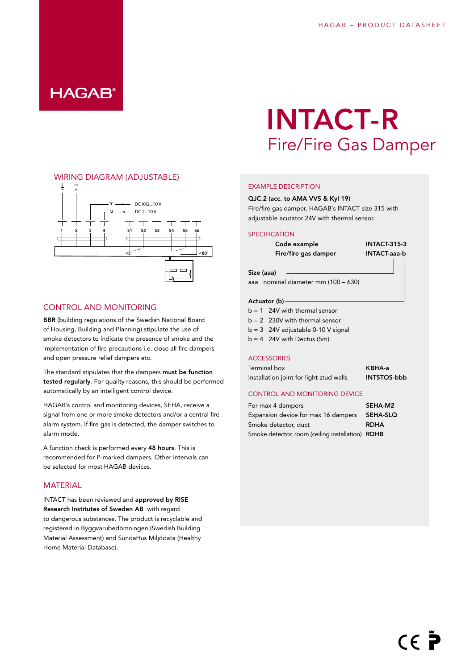### **HAGAB®**

#### WIRING DIAGRAM (ADJUSTABLE)



#### CONTROL AND MONITORING

BBR (building regulations of the Swedish National Board of Housing, Building and Planning) stipulate the use of smoke detectors to indicate the presence of smoke and the implementation of fire precautions i.e. close all fire dampers and open pressure relief dampers etc.

The standard stipulates that the dampers must be function tested regularly. For quality reasons, this should be performed automatically by an intelligent control device.

HAGAB's control and monitoring devices, SEHA, receive a signal from one or more smoke detectors and/or a central fire alarm system. If fire gas is detected, the damper switches to alarm mode.

A function check is performed every 48 hours. This is recommended for P-marked dampers. Other intervals can be selected for most HAGAB devices.

#### **MATFRIAL**

INTACT has been reviewed and approved by RISE Research Institutes of Sweden AB with regard to dangerous substances. The product is recyclable and registered in Byggvarubedömningen (Swedish Building Material Assessment) and SundaHus Miljödata (Healthy Home Material Database).

## INTACT-R Fire/Fire Gas Damper

#### EXAMPLE DESCRIPTION

#### QJC.2 (acc. to AMA VVS & Kyl 19)

Fire/fire gas damper, HAGAB´s INTACT size 315 with adjustable acutator 24V with thermal sensor.

#### **SPECIFICATION**

Code example INTACT-315-3 Fire/fire gas damper **INTACT-aaa-b** 

aaa nominal diameter mm (100 – 630)

#### Actuator (b)

Size (aaa)

- $b = 1$  24V with thermal sensor
- $b = 2$  230V with thermal sensor
- $b = 3$  24V adjustable 0-10 V signal
- $b = 4$  24V with Dectus (5m)

#### **ACCESSORIES**

Terminal box **KBHA-a** Installation joint for light stud walls **INTSTOS-bbb** 

#### CONTROL AND MONITORING DEVICE

For max 4 dampers SEHA-M2 Expansion device for max 16 dampers SEHA-SLQ Smoke detector, duct RDHA Smoke detector, room (ceiling installation) RDHB